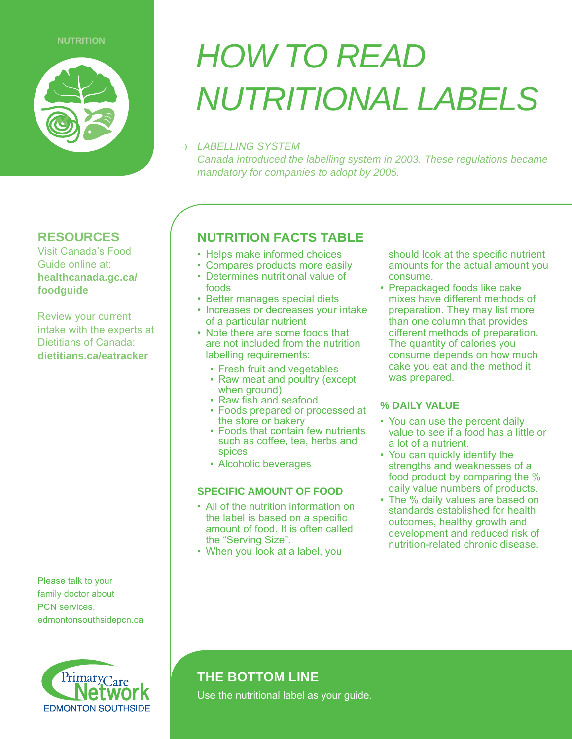

## **RESOURCES**

Visit Canada's Food Guide online at: **healthcanada.gc.ca/ foodguide**

Review your current intake with the experts at Dietitians of Canada: **dietitians.ca/eatracker**

Please talk to your family doctor about PCN services. edmontonsouthsidepcn.ca



# **NUTRITION HOW TO READ** *NUTRITIONAL LABELS*

## *LABELLING SYSTEM*

*Canada introduced the labelling system in 2003. These regulations became mandatory for companies to adopt by 2005.*

## **NUTRITION FACTS TABLE**

- Helps make informed choices
- Compares products more easily
- $\cdot$  Determines nutritional value of foods
- Better manages special diets
- Increases or decreases your intake of a particular nutrient
- Note there are some foods that are not included from the nutrition labelling requirements:
	- Fresh fruit and vegetables
	- Raw meat and poultry (except when ground)
	- Raw fish and seafood
	- Foods prepared or processed at the store or bakery
	- $\blacksquare$  Foods that contain few nutrients such as coffee, tea, herbs and spices
	- Alcoholic beverages

### **SPECIFIC AMOUNT OF FOOD**

- All of the nutrition information on the label is based on a specific amount of food. It is often called the "Serving Size".
- When you look at a label, you

should look at the specific nutrient amounts for the actual amount you consume.

• Prepackaged foods like cake mixes have different methods of preparation. They may list more than one column that provides different methods of preparation. The quantity of calories you consume depends on how much cake you eat and the method it was prepared.

## **% DAILY VALUE**

- You can use the percent daily value to see if a food has a little or a lot of a nutrient.
- You can quickly identify the strengths and weaknesses of a food product by comparing the  $%$ daily value numbers of products.
- $\cdot$  The % daily values are based on standards established for health outcomes, healthy growth and development and reduced risk of nutrition-related chronic disease.

## **THE BOTTOM LINE**

Use the nutritional label as your guide.